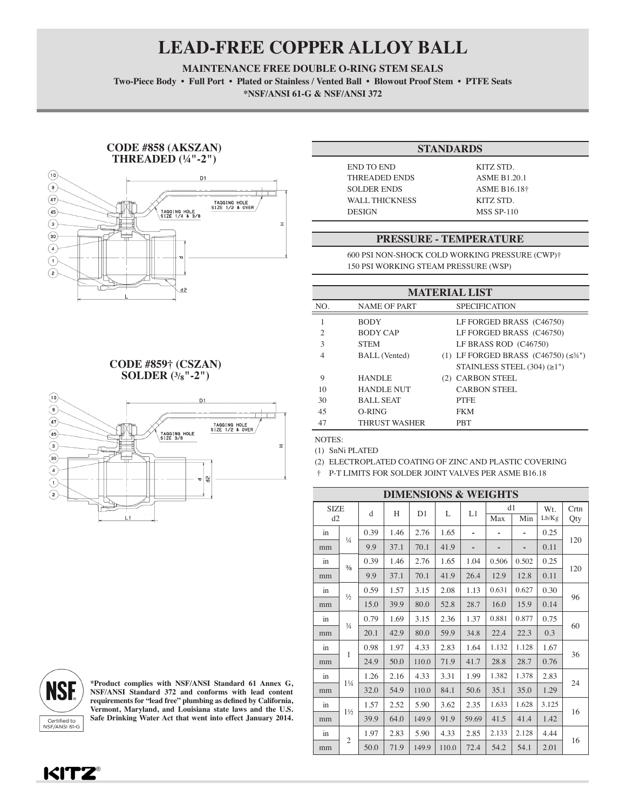## **LEAD-FREE COPPER ALLOY BALL**

**MAINTENANCE FREE DOUBLE O-RING STEM SEALS**

Two-Piece Body • Full Port • Plated or Stainless / Vented Ball • Blowout Proof Stem • PTFE Seats **\*NSF/ANSI 61-G & NSF/ANSI 372**

#### **CODE #858 (AKSZAN) THREADED (¼"-2")**



### **CODE #859† (CSZAN) SOLDER (3/8"-2")**



# **NSF** Certified to<br>NSF/ANSI 61-G

**\*Product complies with NSF/ANSI Standard 61 Annex G, NSF/ANSI Standard 372 and conforms with lead content**  requirements for "lead free" plumbing as defined by California, Vermont, Maryland, and Louisiana state laws and the U.S. Safe Drinking Water Act that went into effect January 2014.

### **STANDARDS**

END TO END KITZ STD. THREADED ENDS ASME B1.20.1 SOLDER ENDS ASME B16.18<sup>†</sup> WALL THICKNESS KITZ STD. DESIGN MSS SP-110

### **PRESSURE - TEMPERATURE**

600 PSI NON-SHOCK COLD WORKING PRESSURE (CWP)† 150 PSI WORKING STEAM PRESSURE (WSP)

| <b>MATERIAL LIST</b> |                      |  |                                                          |  |  |  |  |  |
|----------------------|----------------------|--|----------------------------------------------------------|--|--|--|--|--|
| NO.                  | <b>NAME OF PART</b>  |  | <b>SPECIFICATION</b>                                     |  |  |  |  |  |
| 1                    | <b>BODY</b>          |  | LF FORGED BRASS (C46750)                                 |  |  |  |  |  |
| 2                    | <b>BODY CAP</b>      |  | LF FORGED BRASS (C46750)                                 |  |  |  |  |  |
| 3                    | <b>STEM</b>          |  | LF BRASS ROD (C46750)                                    |  |  |  |  |  |
| 4                    | <b>BALL</b> (Vented) |  | (1) LF FORGED BRASS $(C46750)$ ( $\leq$ <sup>34"</sup> ) |  |  |  |  |  |
|                      |                      |  | STAINLESS STEEL $(304) (\geq 1")$                        |  |  |  |  |  |
| 9                    | <b>HANDLE</b>        |  | (2) CARBON STEEL                                         |  |  |  |  |  |
| 10                   | <b>HANDLE NUT</b>    |  | <b>CARBON STEEL</b>                                      |  |  |  |  |  |
| 30                   | <b>BALL SEAT</b>     |  | <b>PTFE</b>                                              |  |  |  |  |  |
| 45                   | O-RING               |  | <b>FKM</b>                                               |  |  |  |  |  |
| 47                   | <b>THRUST WASHER</b> |  | <b>PBT</b>                                               |  |  |  |  |  |

NOTES:

(1) SnNi PLATED

(2) ELECTROPLATED COATING OF ZINC AND PLASTIC COVERING

† P-T LIMITS FOR SOLDER JOINT VALVES PER ASME B16.18

| <b>DIMENSIONS &amp; WEIGHTS</b> |                |      |      |       |       |       |           |       |              |             |
|---------------------------------|----------------|------|------|-------|-------|-------|-----------|-------|--------------|-------------|
| <b>SIZE</b><br>d2               |                | d    | H    | D1    | L     | L1    | d1<br>Max | Min   | Wt.<br>Lb/Kg | Crtn<br>Qty |
| in                              |                | 0.39 | 1.46 | 2.76  | 1.65  | ٠     |           |       | 0.25         |             |
| mm                              | $\frac{1}{4}$  | 9.9  | 37.1 | 70.1  | 41.9  |       |           |       | 0.11         | 120         |
| in                              | $\frac{3}{8}$  | 0.39 | 1.46 | 2.76  | 1.65  | 1.04  | 0.506     | 0.502 | 0.25         | 120         |
| mm                              |                | 9.9  | 37.1 | 70.1  | 41.9  | 26.4  | 12.9      | 12.8  | 0.11         |             |
| in                              | $\frac{1}{2}$  | 0.59 | 1.57 | 3.15  | 2.08  | 1.13  | 0.631     | 0.627 | 0.30         |             |
| mm                              |                | 15.0 | 39.9 | 80.0  | 52.8  | 28.7  | 16.0      | 15.9  | 0.14         | 96          |
| in                              | $\frac{3}{4}$  | 0.79 | 1.69 | 3.15  | 2.36  | 1.37  | 0.881     | 0.877 | 0.75         | 60          |
| mm                              |                | 20.1 | 42.9 | 80.0  | 59.9  | 34.8  | 22.4      | 22.3  | 0.3          |             |
| in                              | 1              | 0.98 | 1.97 | 4.33  | 2.83  | 1.64  | 1.132     | 1.128 | 1.67         | 36          |
| mm                              |                | 24.9 | 50.0 | 110.0 | 71.9  | 41.7  | 28.8      | 28.7  | 0.76         |             |
| in                              | $1\frac{1}{4}$ | 1.26 | 2.16 | 4.33  | 3.31  | 1.99  | 1.382     | 1.378 | 2.83         |             |
| mm                              |                | 32.0 | 54.9 | 110.0 | 84.1  | 50.6  | 35.1      | 35.0  | 1.29         | 24          |
| in                              | $1\frac{1}{2}$ | 1.57 | 2.52 | 5.90  | 3.62  | 2.35  | 1.633     | 1.628 | 3.125        | 16          |
| mm                              |                | 39.9 | 64.0 | 149.9 | 91.9  | 59.69 | 41.5      | 41.4  | 1.42         |             |
| $\sin$                          |                | 1.97 | 2.83 | 5.90  | 4.33  | 2.85  | 2.133     | 2.128 | 4.44         |             |
| mm                              | $\mathfrak{2}$ | 50.0 | 71.9 | 149.9 | 110.0 | 72.4  | 54.2      | 54.1  | 2.01         | 16          |

**KITZ®**